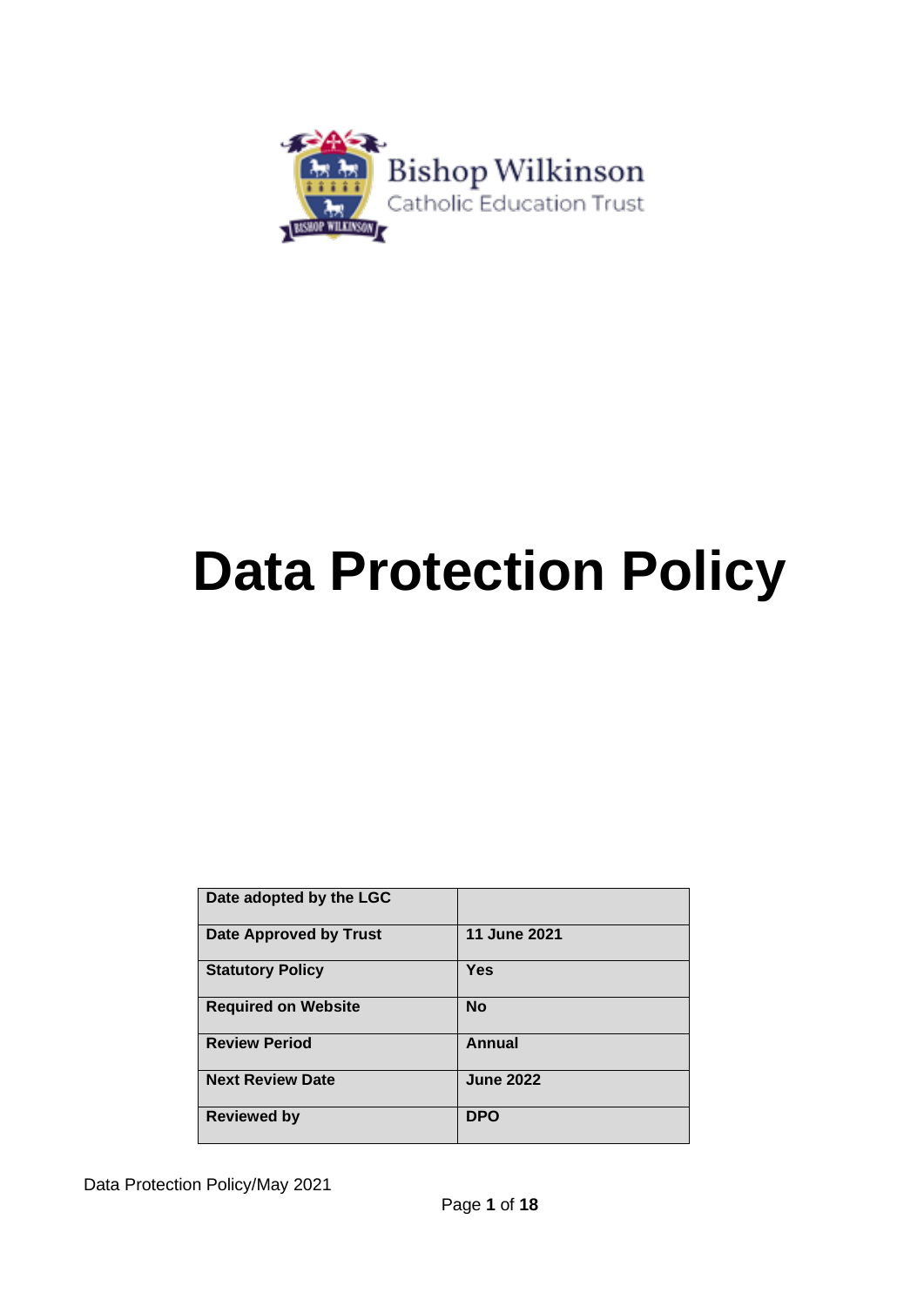

# **Data Protection Policy**

| Date adopted by the LGC       |                  |
|-------------------------------|------------------|
| <b>Date Approved by Trust</b> | 11 June 2021     |
| <b>Statutory Policy</b>       | <b>Yes</b>       |
| <b>Required on Website</b>    | <b>No</b>        |
| <b>Review Period</b>          | Annual           |
| <b>Next Review Date</b>       | <b>June 2022</b> |
| <b>Reviewed by</b>            | <b>DPO</b>       |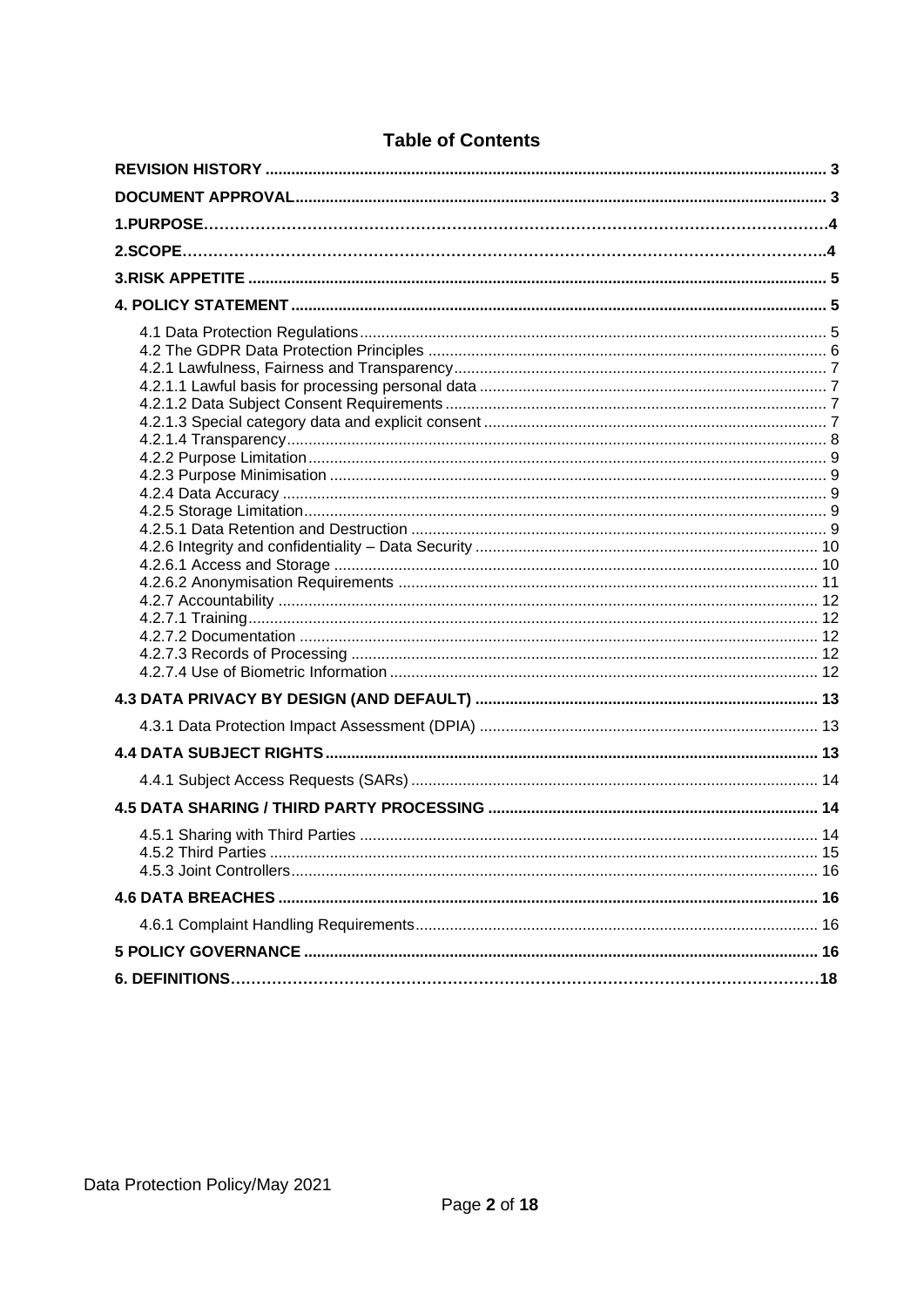# **Table of Contents**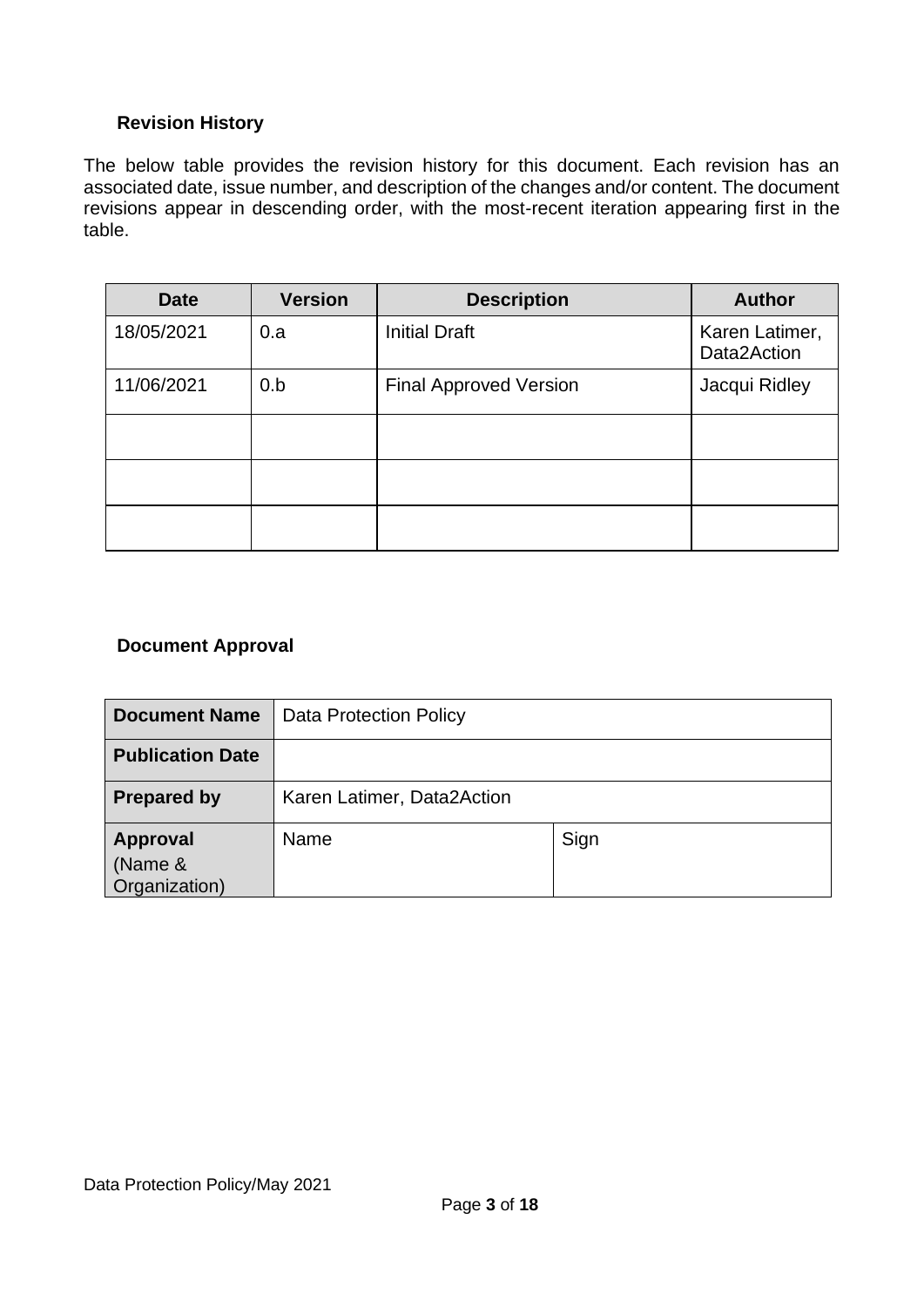## <span id="page-2-0"></span>**Revision History**

The below table provides the revision history for this document. Each revision has an associated date, issue number, and description of the changes and/or content. The document revisions appear in descending order, with the most-recent iteration appearing first in the table.

| <b>Date</b> | <b>Version</b> | <b>Description</b>            | <b>Author</b>                 |
|-------------|----------------|-------------------------------|-------------------------------|
| 18/05/2021  | 0.a            | <b>Initial Draft</b>          | Karen Latimer,<br>Data2Action |
| 11/06/2021  | 0.b            | <b>Final Approved Version</b> | Jacqui Ridley                 |
|             |                |                               |                               |
|             |                |                               |                               |
|             |                |                               |                               |

## <span id="page-2-1"></span>**Document Approval**

| <b>Document Name</b>                        | <b>Data Protection Policy</b> |      |
|---------------------------------------------|-------------------------------|------|
| <b>Publication Date</b>                     |                               |      |
| <b>Prepared by</b>                          | Karen Latimer, Data2Action    |      |
| <b>Approval</b><br>(Name &<br>Organization) | Name                          | Sign |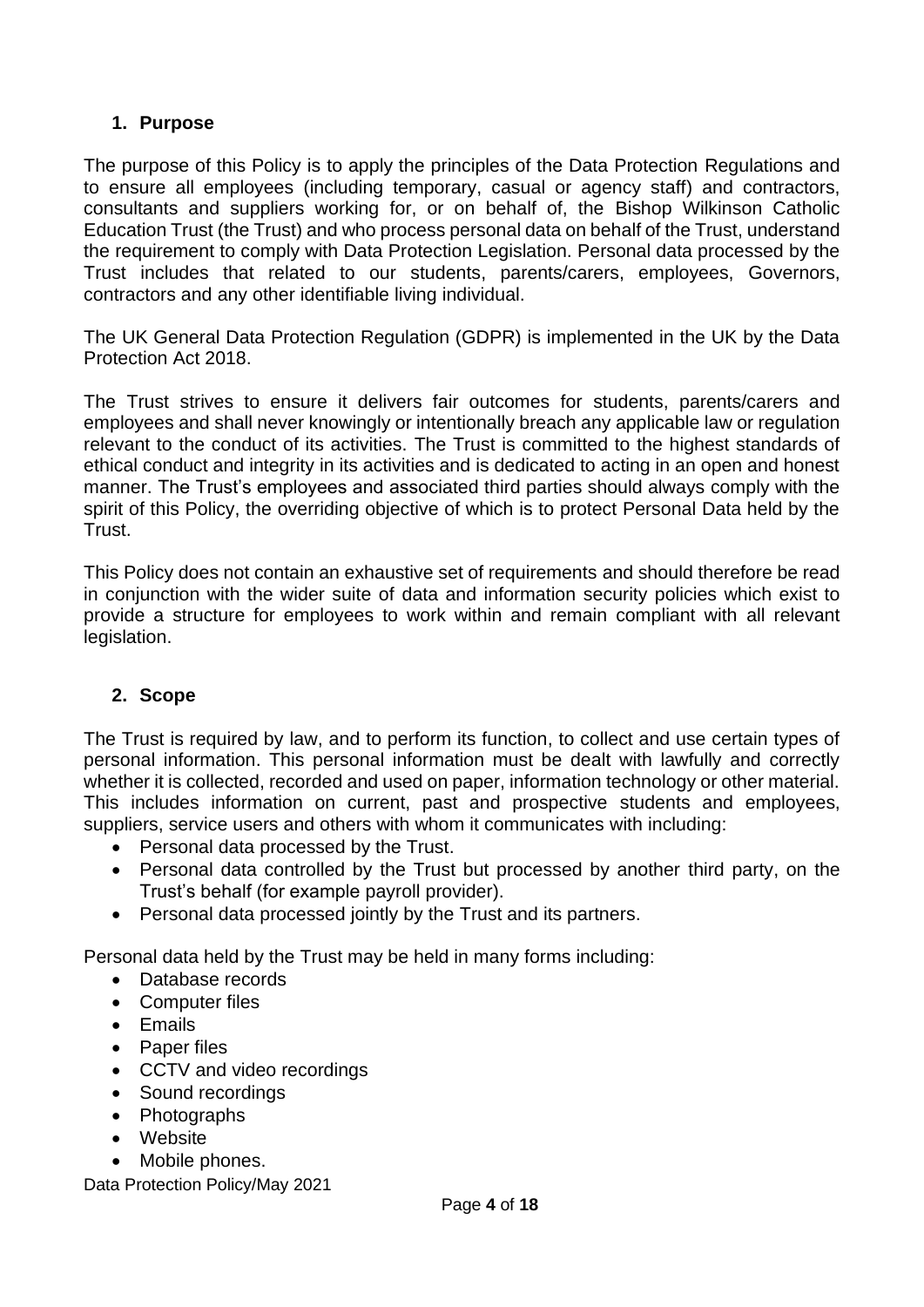## <span id="page-3-0"></span>**1. Purpose**

The purpose of this Policy is to apply the principles of the Data Protection Regulations and to ensure all employees (including temporary, casual or agency staff) and contractors, consultants and suppliers working for, or on behalf of, the Bishop Wilkinson Catholic Education Trust (the Trust) and who process personal data on behalf of the Trust, understand the requirement to comply with Data Protection Legislation. Personal data processed by the Trust includes that related to our students, parents/carers, employees, Governors, contractors and any other identifiable living individual.

The UK General Data Protection Regulation (GDPR) is implemented in the UK by the Data Protection Act 2018.

The Trust strives to ensure it delivers fair outcomes for students, parents/carers and employees and shall never knowingly or intentionally breach any applicable law or regulation relevant to the conduct of its activities. The Trust is committed to the highest standards of ethical conduct and integrity in its activities and is dedicated to acting in an open and honest manner. The Trust's employees and associated third parties should always comply with the spirit of this Policy, the overriding objective of which is to protect Personal Data held by the Trust.

This Policy does not contain an exhaustive set of requirements and should therefore be read in conjunction with the wider suite of data and information security policies which exist to provide a structure for employees to work within and remain compliant with all relevant legislation.

# <span id="page-3-1"></span>**2. Scope**

The Trust is required by law, and to perform its function, to collect and use certain types of personal information. This personal information must be dealt with lawfully and correctly whether it is collected, recorded and used on paper, information technology or other material. This includes information on current, past and prospective students and employees, suppliers, service users and others with whom it communicates with including:

- Personal data processed by the Trust.
- Personal data controlled by the Trust but processed by another third party, on the Trust's behalf (for example payroll provider).
- Personal data processed jointly by the Trust and its partners.

Personal data held by the Trust may be held in many forms including:

- Database records
- Computer files
- Emails
- Paper files
- CCTV and video recordings
- Sound recordings
- Photographs
- Website
- Mobile phones.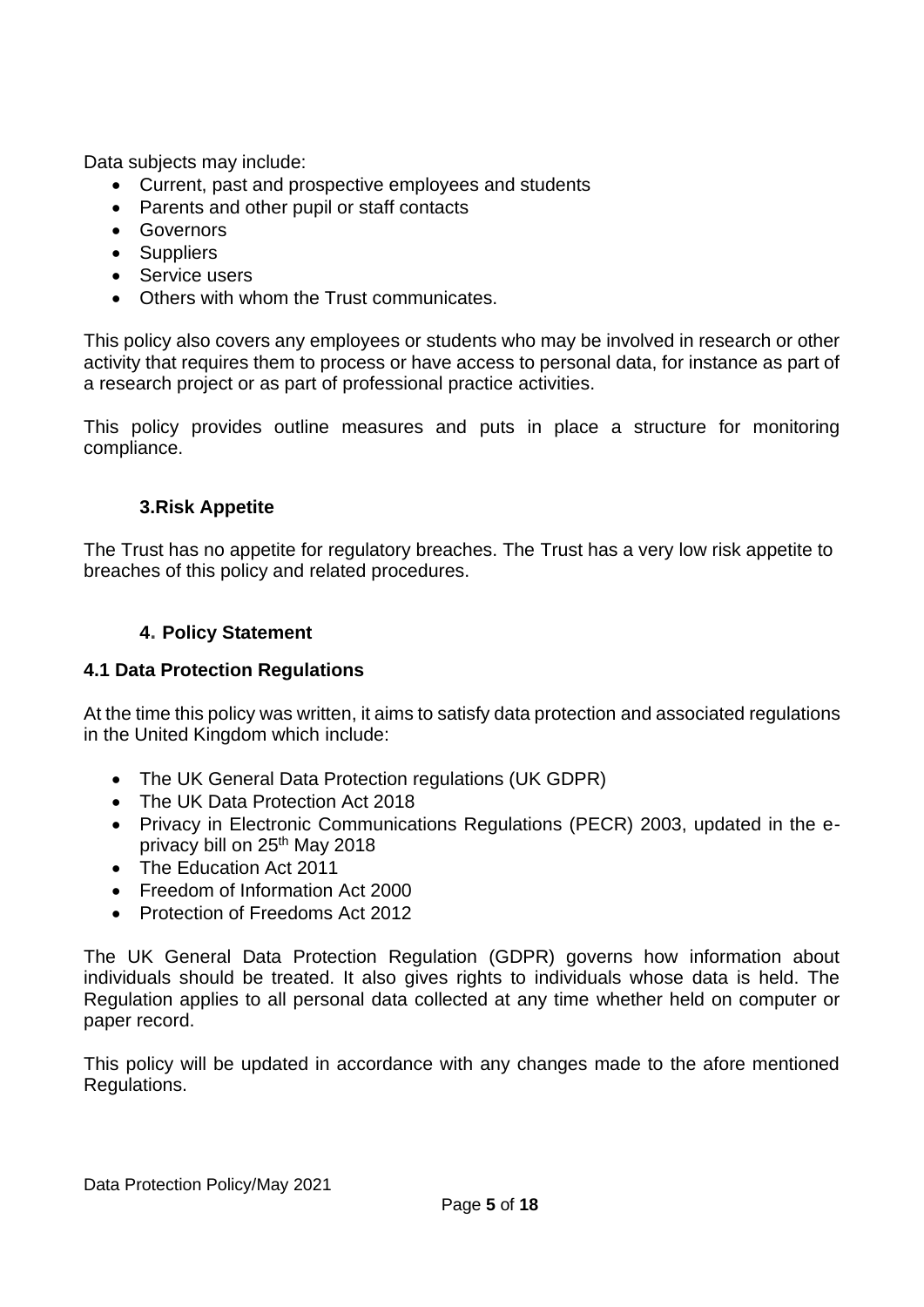Data subjects may include:

- Current, past and prospective employees and students
- Parents and other pupil or staff contacts
- Governors
- Suppliers
- Service users
- Others with whom the Trust communicates.

This policy also covers any employees or students who may be involved in research or other activity that requires them to process or have access to personal data, for instance as part of a research project or as part of professional practice activities.

<span id="page-4-0"></span>This policy provides outline measures and puts in place a structure for monitoring compliance.

#### **3.Risk Appetite**

<span id="page-4-1"></span>The Trust has no appetite for regulatory breaches. The Trust has a very low risk appetite to breaches of this policy and related procedures.

#### **4. Policy Statement**

#### <span id="page-4-2"></span>**4.1 Data Protection Regulations**

At the time this policy was written, it aims to satisfy data protection and associated regulations in the United Kingdom which include:

- The UK General Data Protection regulations (UK GDPR)
- The UK Data Protection Act 2018
- Privacy in Electronic Communications Regulations (PECR) 2003, updated in the eprivacy bill on 25th May 2018
- The Education Act 2011
- Freedom of Information Act 2000
- Protection of Freedoms Act 2012

The UK General Data Protection Regulation (GDPR) governs how information about individuals should be treated. It also gives rights to individuals whose data is held. The Regulation applies to all personal data collected at any time whether held on computer or paper record.

This policy will be updated in accordance with any changes made to the afore mentioned Regulations.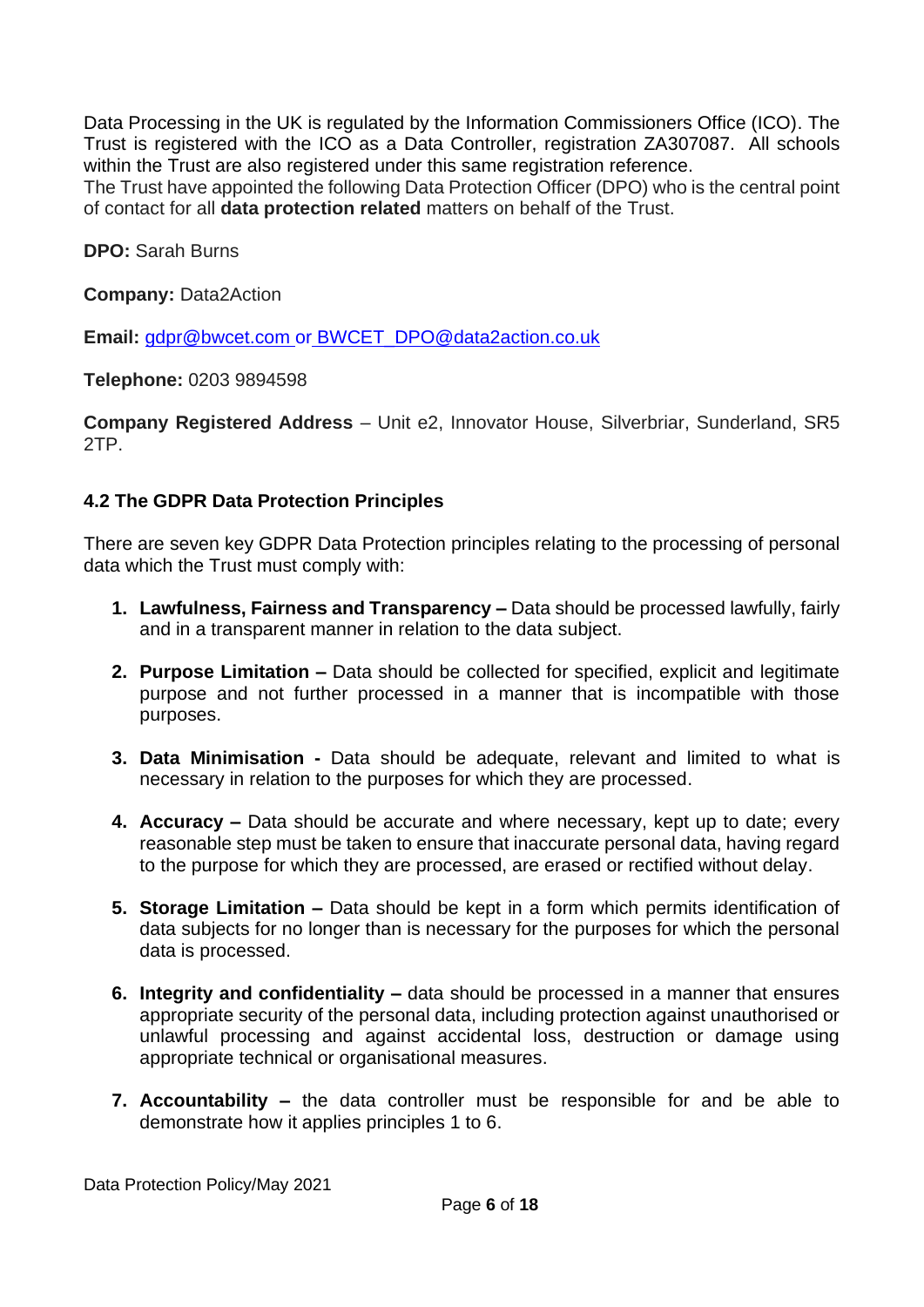Data Processing in the UK is regulated by the Information Commissioners Office (ICO). The Trust is registered with the ICO as a Data Controller, registration ZA307087. All schools within the Trust are also registered under this same registration reference.

The Trust have appointed the following Data Protection Officer (DPO) who is the central point of contact for all **data protection related** matters on behalf of the Trust.

**DPO:** Sarah Burns

**Company:** Data2Action

**Email:** [gdpr@bwcet.com](mailto:gdpr@bwcet.com) or [BWCET\\_DPO@data2action.co.uk](mailto:BWCET_DPO@data2action.co.uk)

**Telephone:** 0203 9894598

**Company Registered Address** – Unit e2, Innovator House, Silverbriar, Sunderland, SR5 2TP.

#### <span id="page-5-0"></span>**4.2 The GDPR Data Protection Principles**

There are seven key GDPR Data Protection principles relating to the processing of personal data which the Trust must comply with:

- **1. Lawfulness, Fairness and Transparency –** Data should be processed lawfully, fairly and in a transparent manner in relation to the data subject.
- **2. Purpose Limitation –** Data should be collected for specified, explicit and legitimate purpose and not further processed in a manner that is incompatible with those purposes.
- **3. Data Minimisation -** Data should be adequate, relevant and limited to what is necessary in relation to the purposes for which they are processed.
- **4. Accuracy –** Data should be accurate and where necessary, kept up to date; every reasonable step must be taken to ensure that inaccurate personal data, having regard to the purpose for which they are processed, are erased or rectified without delay.
- **5. Storage Limitation –** Data should be kept in a form which permits identification of data subjects for no longer than is necessary for the purposes for which the personal data is processed.
- **6. Integrity and confidentiality –** data should be processed in a manner that ensures appropriate security of the personal data, including protection against unauthorised or unlawful processing and against accidental loss, destruction or damage using appropriate technical or organisational measures.
- **7. Accountability –** the data controller must be responsible for and be able to demonstrate how it applies principles 1 to 6.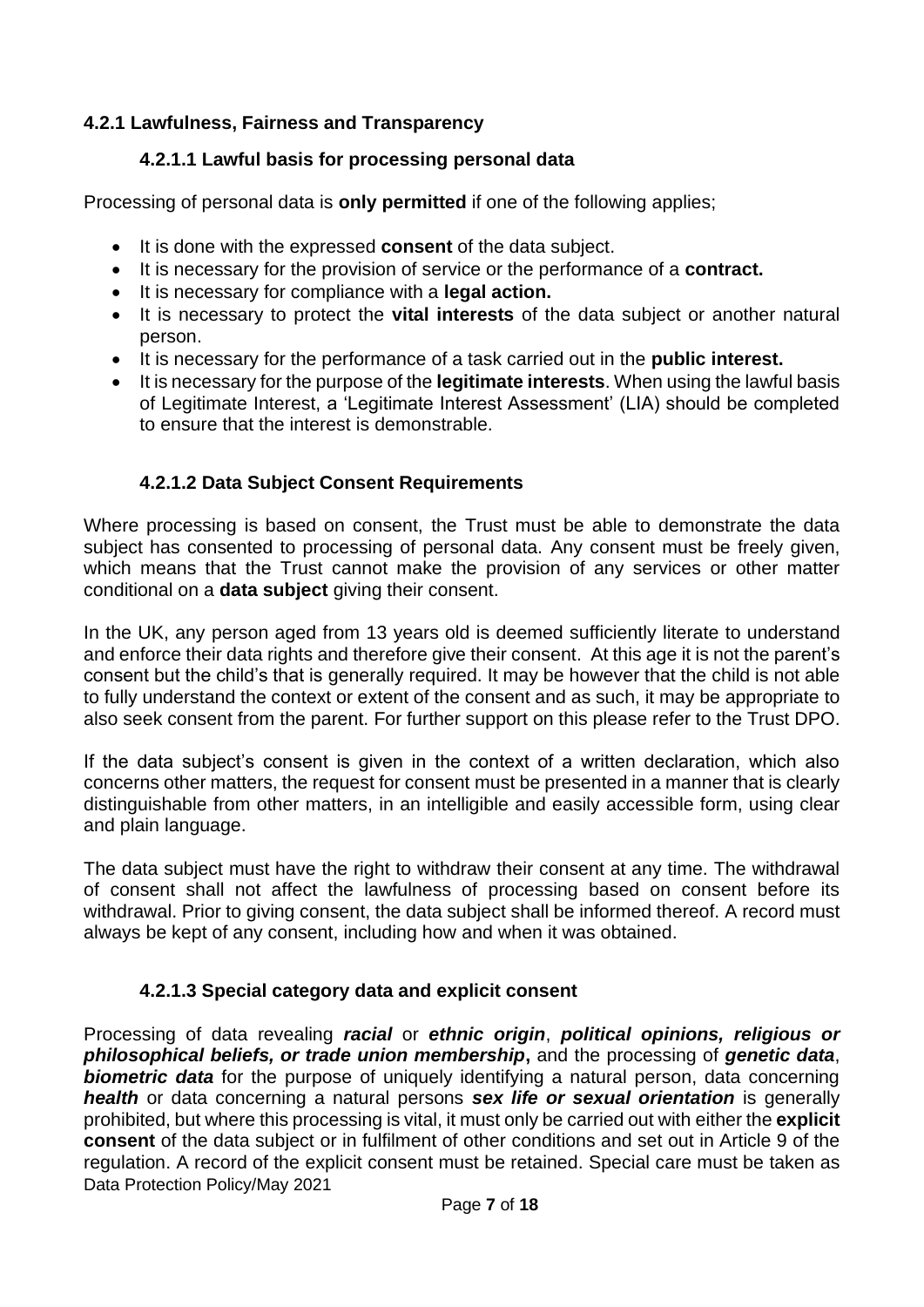# <span id="page-6-1"></span><span id="page-6-0"></span>**4.2.1 Lawfulness, Fairness and Transparency**

# **4.2.1.1 Lawful basis for processing personal data**

Processing of personal data is **only permitted** if one of the following applies;

- It is done with the expressed **consent** of the data subject.
- It is necessary for the provision of service or the performance of a **contract.**
- It is necessary for compliance with a **legal action.**
- It is necessary to protect the **vital interests** of the data subject or another natural person.
- It is necessary for the performance of a task carried out in the **public interest.**
- It is necessary for the purpose of the **legitimate interests**. When using the lawful basis of Legitimate Interest, a 'Legitimate Interest Assessment' (LIA) should be completed to ensure that the interest is demonstrable.

# **4.2.1.2 Data Subject Consent Requirements**

<span id="page-6-2"></span>Where processing is based on consent, the Trust must be able to demonstrate the data subject has consented to processing of personal data. Any consent must be freely given, which means that the Trust cannot make the provision of any services or other matter conditional on a **data subject** giving their consent.

In the UK, any person aged from 13 years old is deemed sufficiently literate to understand and enforce their data rights and therefore give their consent. At this age it is not the parent's consent but the child's that is generally required. It may be however that the child is not able to fully understand the context or extent of the consent and as such, it may be appropriate to also seek consent from the parent. For further support on this please refer to the Trust DPO.

If the data subject's consent is given in the context of a written declaration, which also concerns other matters, the request for consent must be presented in a manner that is clearly distinguishable from other matters, in an intelligible and easily accessible form, using clear and plain language.

The data subject must have the right to withdraw their consent at any time. The withdrawal of consent shall not affect the lawfulness of processing based on consent before its withdrawal. Prior to giving consent, the data subject shall be informed thereof. A record must always be kept of any consent, including how and when it was obtained.

# **4.2.1.3 Special category data and explicit consent**

<span id="page-6-3"></span>Data Protection Policy/May 2021 Processing of data revealing *racial* or *ethnic origin*, *political opinions, religious or philosophical beliefs, or trade union membership***,** and the processing of *genetic data*, **biometric data** for the purpose of uniquely identifying a natural person, data concerning *health* or data concerning a natural persons *sex life or sexual orientation* is generally prohibited, but where this processing is vital, it must only be carried out with either the **explicit consent** of the data subject or in fulfilment of other conditions and set out in Article 9 of the regulation. A record of the explicit consent must be retained. Special care must be taken as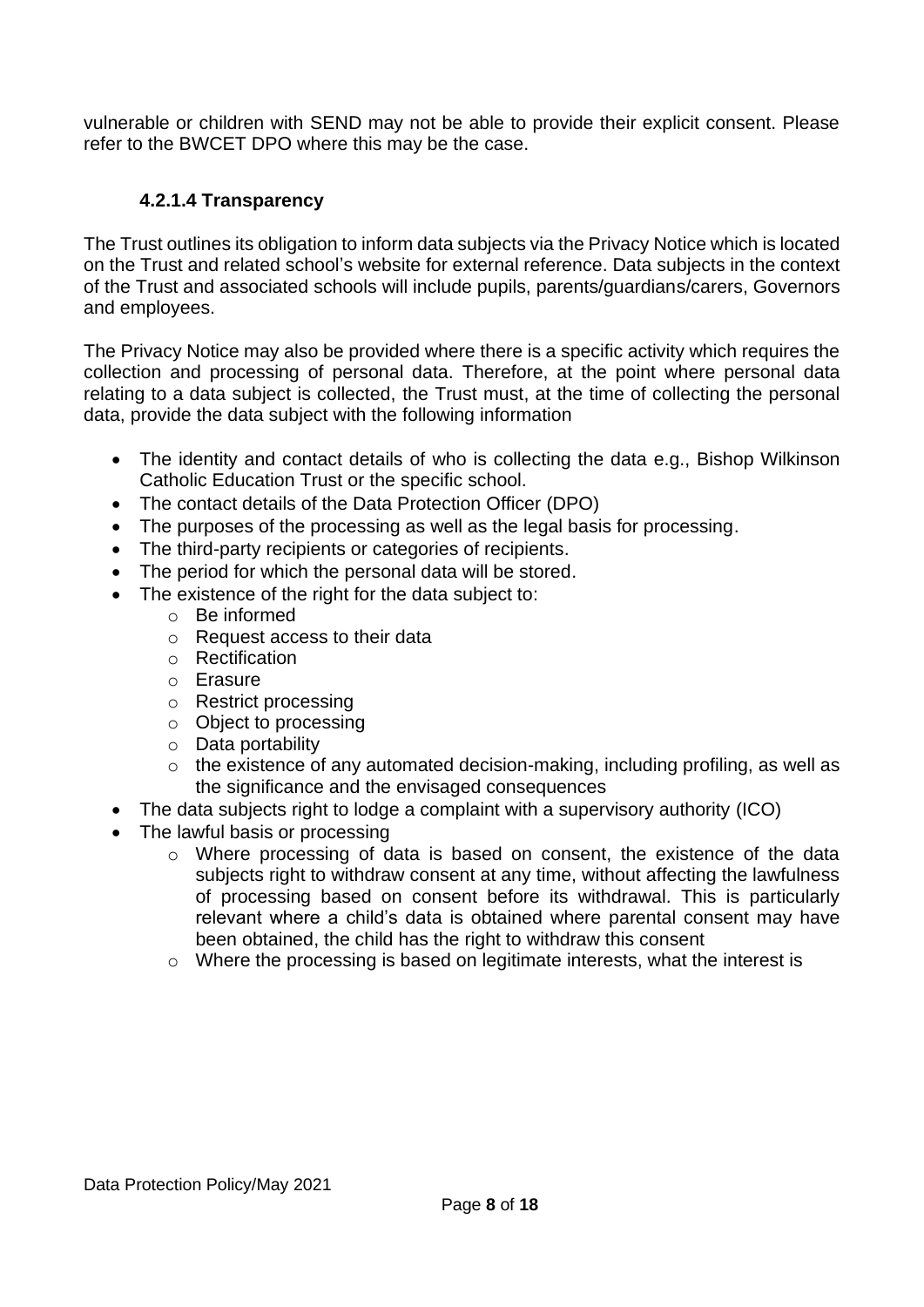vulnerable or children with SEND may not be able to provide their explicit consent. Please refer to the BWCET DPO where this may be the case.

# **4.2.1.4 Transparency**

<span id="page-7-0"></span>The Trust outlines its obligation to inform data subjects via the Privacy Notice which is located on the Trust and related school's website for external reference. Data subjects in the context of the Trust and associated schools will include pupils, parents/guardians/carers, Governors and employees.

The Privacy Notice may also be provided where there is a specific activity which requires the collection and processing of personal data. Therefore, at the point where personal data relating to a data subject is collected, the Trust must, at the time of collecting the personal data, provide the data subject with the following information

- The identity and contact details of who is collecting the data e.g., Bishop Wilkinson Catholic Education Trust or the specific school.
- The contact details of the Data Protection Officer (DPO)
- The purposes of the processing as well as the legal basis for processing.
- The third-party recipients or categories of recipients.
- The period for which the personal data will be stored.
- The existence of the right for the data subject to:
	- o Be informed
	- o Request access to their data
	- o Rectification
	- o Erasure
	- o Restrict processing
	- o Object to processing
	- o Data portability
	- o the existence of any automated decision-making, including profiling, as well as the significance and the envisaged consequences
- The data subjects right to lodge a complaint with a supervisory authority (ICO)
- The lawful basis or processing
	- o Where processing of data is based on consent, the existence of the data subjects right to withdraw consent at any time, without affecting the lawfulness of processing based on consent before its withdrawal. This is particularly relevant where a child's data is obtained where parental consent may have been obtained, the child has the right to withdraw this consent
	- o Where the processing is based on legitimate interests, what the interest is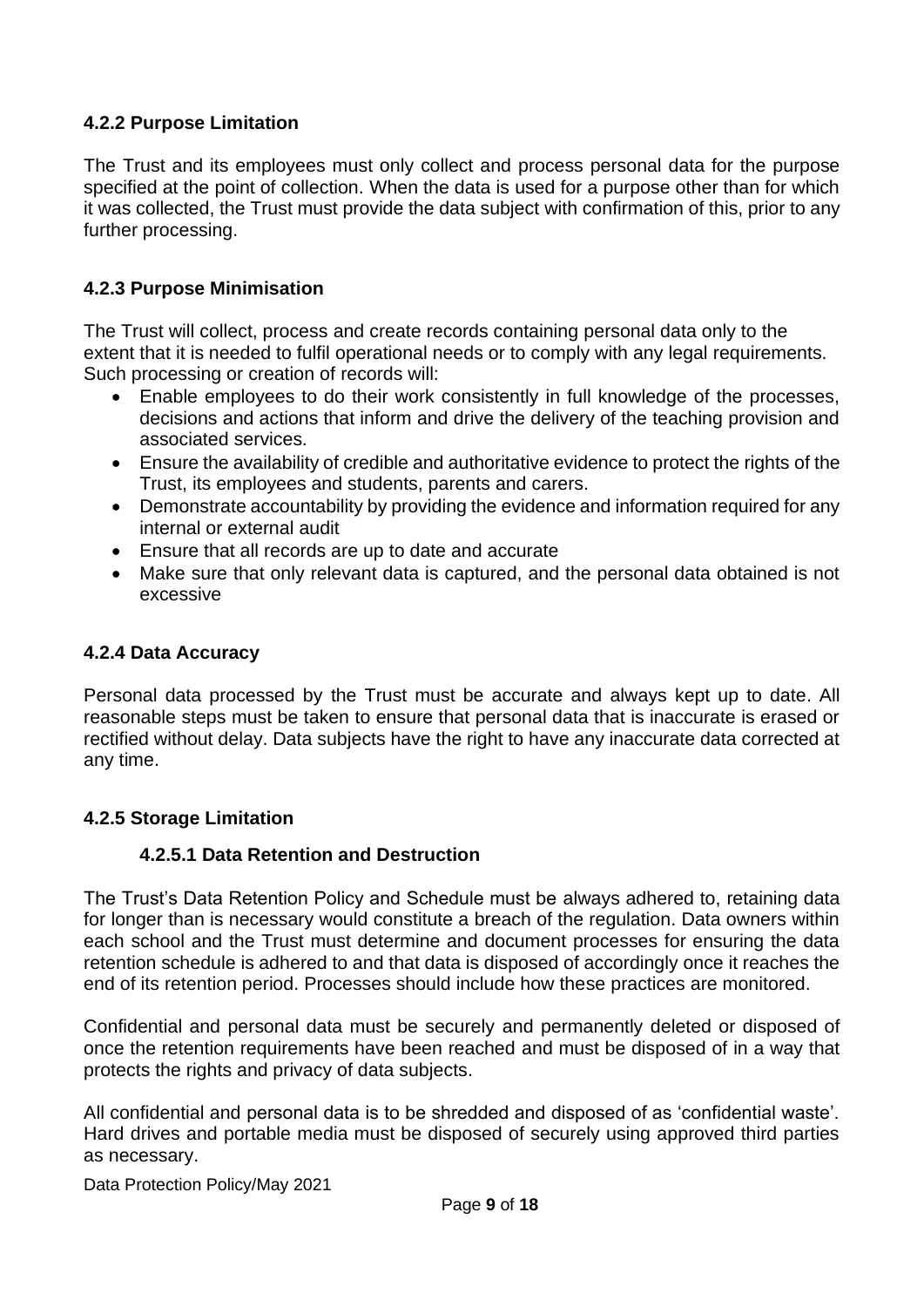## <span id="page-8-0"></span>**4.2.2 Purpose Limitation**

The Trust and its employees must only collect and process personal data for the purpose specified at the point of collection. When the data is used for a purpose other than for which it was collected, the Trust must provide the data subject with confirmation of this, prior to any further processing.

#### <span id="page-8-1"></span>**4.2.3 Purpose Minimisation**

The Trust will collect, process and create records containing personal data only to the extent that it is needed to fulfil operational needs or to comply with any legal requirements. Such processing or creation of records will:

- Enable employees to do their work consistently in full knowledge of the processes, decisions and actions that inform and drive the delivery of the teaching provision and associated services.
- Ensure the availability of credible and authoritative evidence to protect the rights of the Trust, its employees and students, parents and carers.
- Demonstrate accountability by providing the evidence and information required for any internal or external audit
- Ensure that all records are up to date and accurate
- Make sure that only relevant data is captured, and the personal data obtained is not excessive

#### <span id="page-8-2"></span>**4.2.4 Data Accuracy**

Personal data processed by the Trust must be accurate and always kept up to date. All reasonable steps must be taken to ensure that personal data that is inaccurate is erased or rectified without delay. Data subjects have the right to have any inaccurate data corrected at any time.

#### <span id="page-8-4"></span><span id="page-8-3"></span>**4.2.5 Storage Limitation**

#### **4.2.5.1 Data Retention and Destruction**

The Trust's Data Retention Policy and Schedule must be always adhered to, retaining data for longer than is necessary would constitute a breach of the regulation. Data owners within each school and the Trust must determine and document processes for ensuring the data retention schedule is adhered to and that data is disposed of accordingly once it reaches the end of its retention period. Processes should include how these practices are monitored.

Confidential and personal data must be securely and permanently deleted or disposed of once the retention requirements have been reached and must be disposed of in a way that protects the rights and privacy of data subjects.

All confidential and personal data is to be shredded and disposed of as 'confidential waste'. Hard drives and portable media must be disposed of securely using approved third parties as necessary.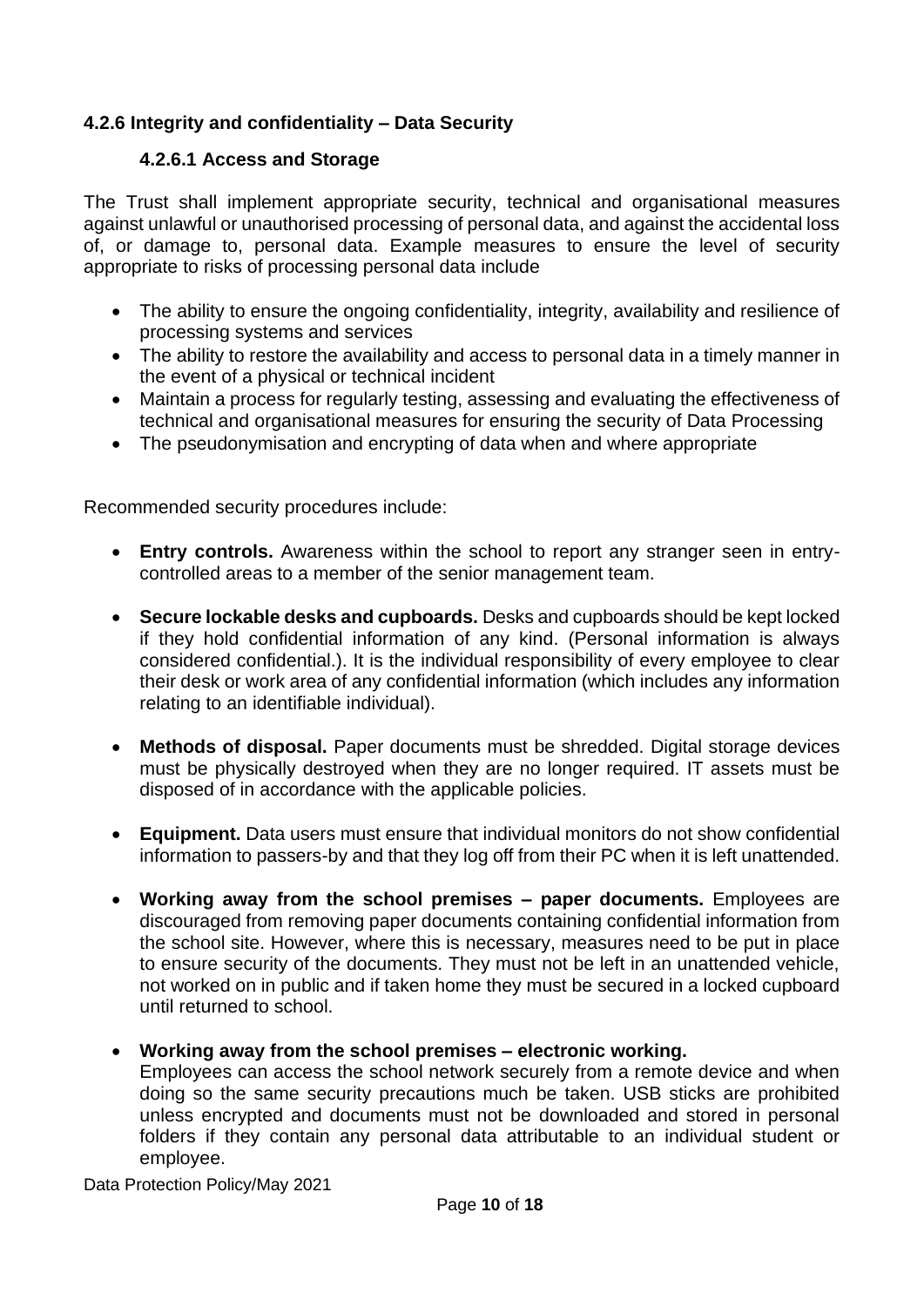# <span id="page-9-1"></span><span id="page-9-0"></span>**4.2.6 Integrity and confidentiality – Data Security**

#### **4.2.6.1 Access and Storage**

The Trust shall implement appropriate security, technical and organisational measures against unlawful or unauthorised processing of personal data, and against the accidental loss of, or damage to, personal data. Example measures to ensure the level of security appropriate to risks of processing personal data include

- The ability to ensure the ongoing confidentiality, integrity, availability and resilience of processing systems and services
- The ability to restore the availability and access to personal data in a timely manner in the event of a physical or technical incident
- Maintain a process for regularly testing, assessing and evaluating the effectiveness of technical and organisational measures for ensuring the security of Data Processing
- The pseudonymisation and encrypting of data when and where appropriate

Recommended security procedures include:

- **Entry controls.** Awareness within the school to report any stranger seen in entrycontrolled areas to a member of the senior management team.
- **Secure lockable desks and cupboards.** Desks and cupboards should be kept locked if they hold confidential information of any kind. (Personal information is always considered confidential.). It is the individual responsibility of every employee to clear their desk or work area of any confidential information (which includes any information relating to an identifiable individual).
- **Methods of disposal.** Paper documents must be shredded. Digital storage devices must be physically destroyed when they are no longer required. IT assets must be disposed of in accordance with the applicable policies.
- **Equipment.** Data users must ensure that individual monitors do not show confidential information to passers-by and that they log off from their PC when it is left unattended.
- **Working away from the school premises – paper documents.** Employees are discouraged from removing paper documents containing confidential information from the school site. However, where this is necessary, measures need to be put in place to ensure security of the documents. They must not be left in an unattended vehicle, not worked on in public and if taken home they must be secured in a locked cupboard until returned to school.

#### • **Working away from the school premises – electronic working.**

Employees can access the school network securely from a remote device and when doing so the same security precautions much be taken. USB sticks are prohibited unless encrypted and documents must not be downloaded and stored in personal folders if they contain any personal data attributable to an individual student or employee.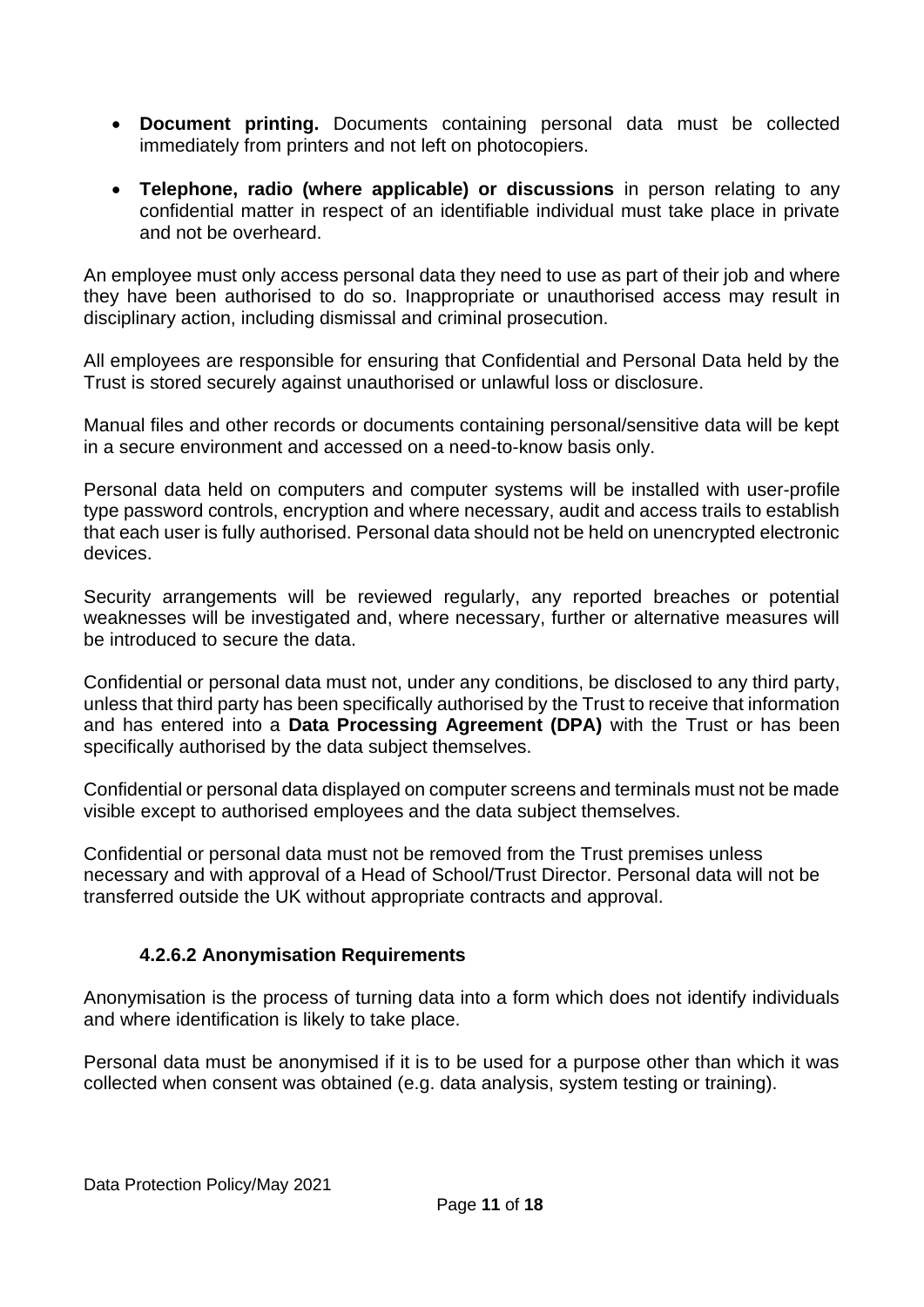- **Document printing.** Documents containing personal data must be collected immediately from printers and not left on photocopiers.
- **Telephone, radio (where applicable) or discussions** in person relating to any confidential matter in respect of an identifiable individual must take place in private and not be overheard.

An employee must only access personal data they need to use as part of their job and where they have been authorised to do so. Inappropriate or unauthorised access may result in disciplinary action, including dismissal and criminal prosecution.

All employees are responsible for ensuring that Confidential and Personal Data held by the Trust is stored securely against unauthorised or unlawful loss or disclosure.

Manual files and other records or documents containing personal/sensitive data will be kept in a secure environment and accessed on a need-to-know basis only.

Personal data held on computers and computer systems will be installed with user-profile type password controls, encryption and where necessary, audit and access trails to establish that each user is fully authorised. Personal data should not be held on unencrypted electronic devices.

Security arrangements will be reviewed regularly, any reported breaches or potential weaknesses will be investigated and, where necessary, further or alternative measures will be introduced to secure the data.

Confidential or personal data must not, under any conditions, be disclosed to any third party, unless that third party has been specifically authorised by the Trust to receive that information and has entered into a **Data Processing Agreement (DPA)** with the Trust or has been specifically authorised by the data subject themselves.

Confidential or personal data displayed on computer screens and terminals must not be made visible except to authorised employees and the data subject themselves.

Confidential or personal data must not be removed from the Trust premises unless necessary and with approval of a Head of School/Trust Director. Personal data will not be transferred outside the UK without appropriate contracts and approval.

#### **4.2.6.2 Anonymisation Requirements**

<span id="page-10-0"></span>Anonymisation is the process of turning data into a form which does not identify individuals and where identification is likely to take place.

Personal data must be anonymised if it is to be used for a purpose other than which it was collected when consent was obtained (e.g. data analysis, system testing or training).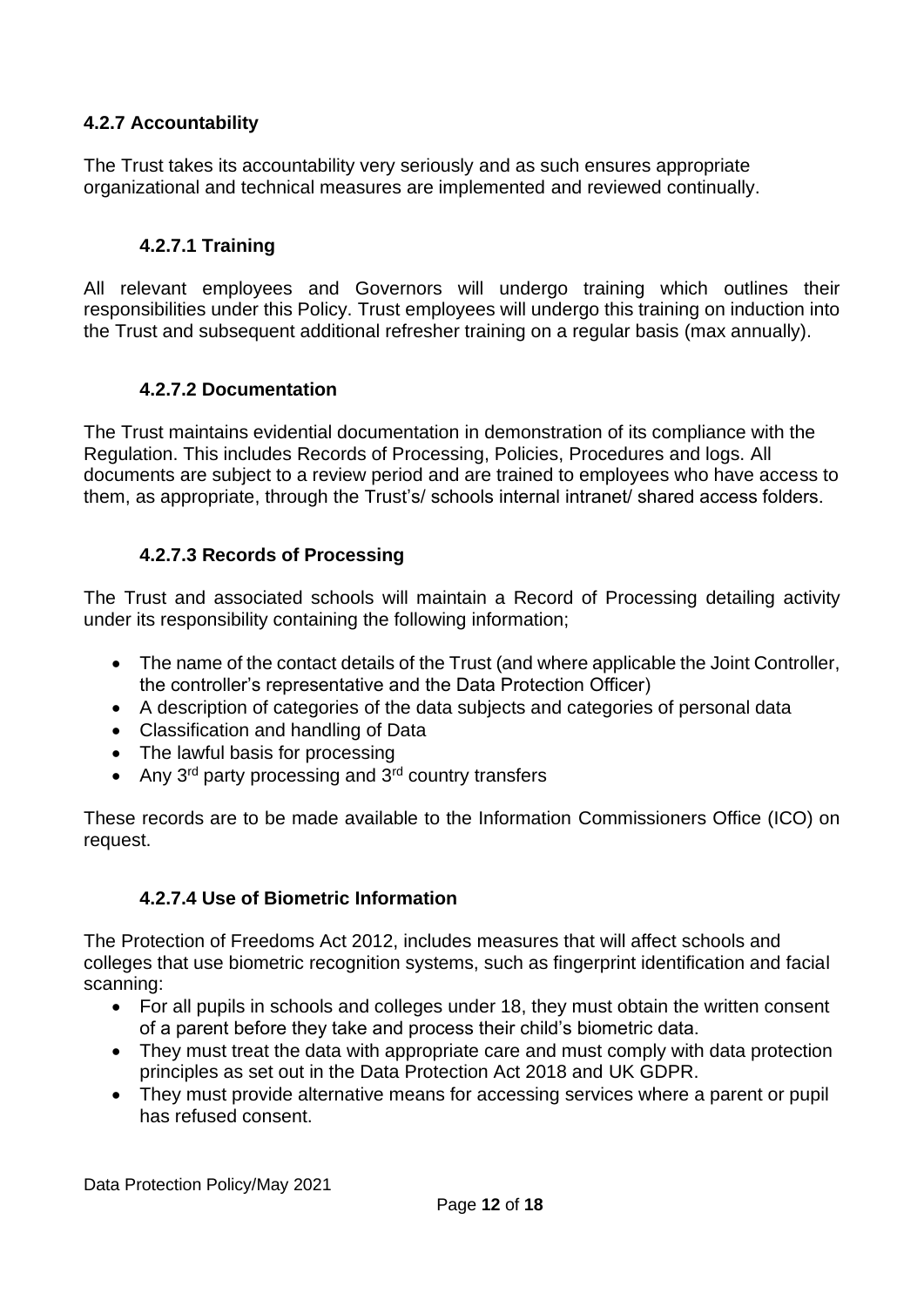## <span id="page-11-0"></span>**4.2.7 Accountability**

The Trust takes its accountability very seriously and as such ensures appropriate organizational and technical measures are implemented and reviewed continually.

## **4.2.7.1 Training**

<span id="page-11-1"></span>All relevant employees and Governors will undergo training which outlines their responsibilities under this Policy. Trust employees will undergo this training on induction into the Trust and subsequent additional refresher training on a regular basis (max annually).

#### **4.2.7.2 Documentation**

<span id="page-11-2"></span>The Trust maintains evidential documentation in demonstration of its compliance with the Regulation. This includes Records of Processing, Policies, Procedures and logs. All documents are subject to a review period and are trained to employees who have access to them, as appropriate, through the Trust's/ schools internal intranet/ shared access folders.

#### **4.2.7.3 Records of Processing**

<span id="page-11-3"></span>The Trust and associated schools will maintain a Record of Processing detailing activity under its responsibility containing the following information;

- The name of the contact details of the Trust (and where applicable the Joint Controller, the controller's representative and the Data Protection Officer)
- A description of categories of the data subjects and categories of personal data
- Classification and handling of Data
- The lawful basis for processing
- Any  $3^{rd}$  party processing and  $3^{rd}$  country transfers

These records are to be made available to the Information Commissioners Office (ICO) on request.

#### **4.2.7.4 Use of Biometric Information**

<span id="page-11-4"></span>The Protection of Freedoms Act 2012, includes measures that will affect schools and colleges that use biometric recognition systems, such as fingerprint identification and facial scanning:

- For all pupils in schools and colleges under 18, they must obtain the written consent of a parent before they take and process their child's biometric data.
- They must treat the data with appropriate care and must comply with data protection principles as set out in the Data Protection Act 2018 and UK GDPR.
- They must provide alternative means for accessing services where a parent or pupil has refused consent.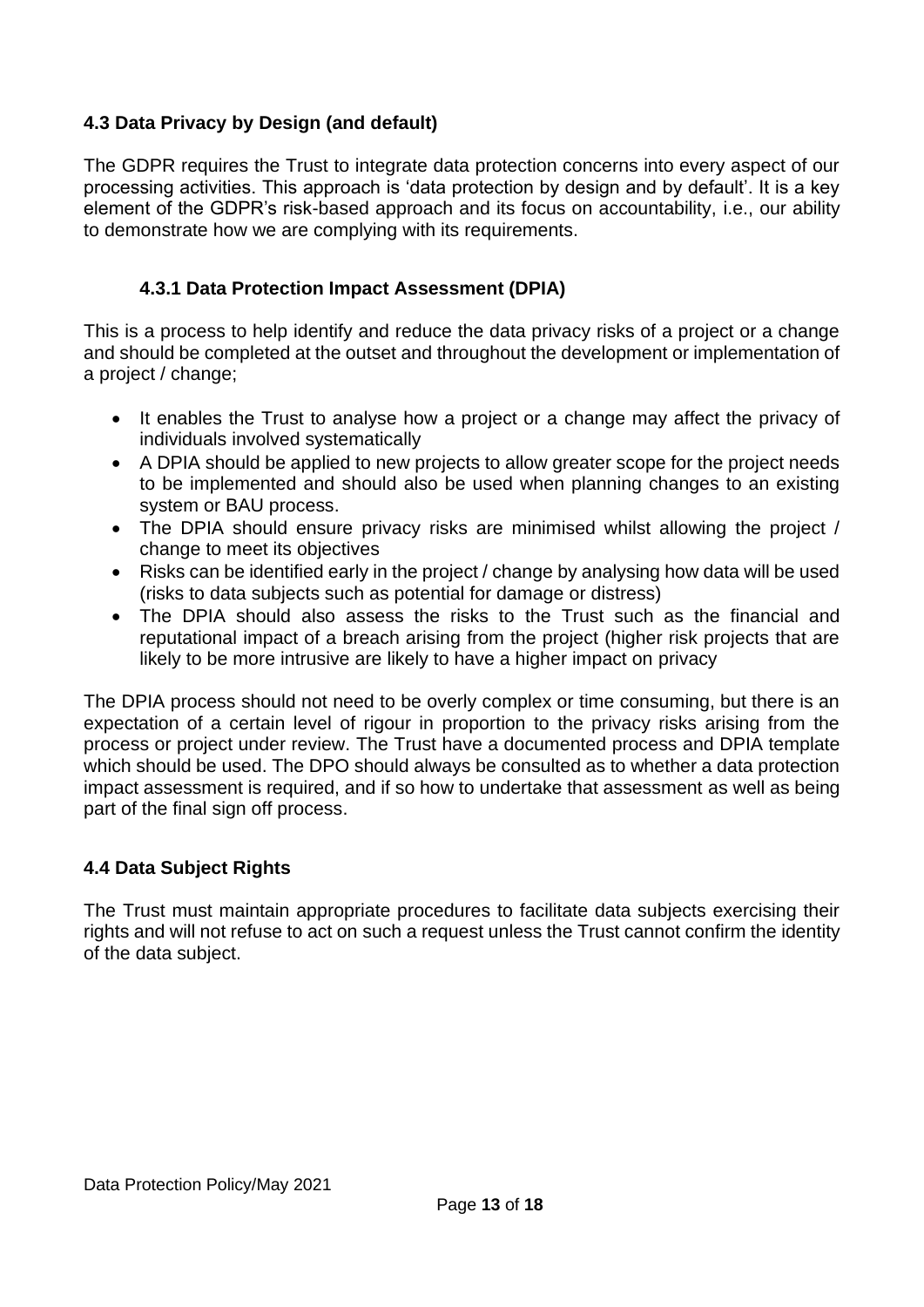## <span id="page-12-0"></span>**4.3 Data Privacy by Design (and default)**

The GDPR requires the Trust to integrate data protection concerns into every aspect of our processing activities. This approach is 'data protection by design and by default'. It is a key element of the GDPR's risk-based approach and its focus on accountability, i.e., our ability to demonstrate how we are complying with its requirements.

## **4.3.1 Data Protection Impact Assessment (DPIA)**

<span id="page-12-1"></span>This is a process to help identify and reduce the data privacy risks of a project or a change and should be completed at the outset and throughout the development or implementation of a project / change;

- It enables the Trust to analyse how a project or a change may affect the privacy of individuals involved systematically
- A DPIA should be applied to new projects to allow greater scope for the project needs to be implemented and should also be used when planning changes to an existing system or BAU process.
- The DPIA should ensure privacy risks are minimised whilst allowing the project / change to meet its objectives
- Risks can be identified early in the project / change by analysing how data will be used (risks to data subjects such as potential for damage or distress)
- The DPIA should also assess the risks to the Trust such as the financial and reputational impact of a breach arising from the project (higher risk projects that are likely to be more intrusive are likely to have a higher impact on privacy

The DPIA process should not need to be overly complex or time consuming, but there is an expectation of a certain level of rigour in proportion to the privacy risks arising from the process or project under review. The Trust have a documented process and DPIA template which should be used. The DPO should always be consulted as to whether a data protection impact assessment is required, and if so how to undertake that assessment as well as being part of the final sign off process.

# <span id="page-12-2"></span>**4.4 Data Subject Rights**

The Trust must maintain appropriate procedures to facilitate data subjects exercising their rights and will not refuse to act on such a request unless the Trust cannot confirm the identity of the data subject.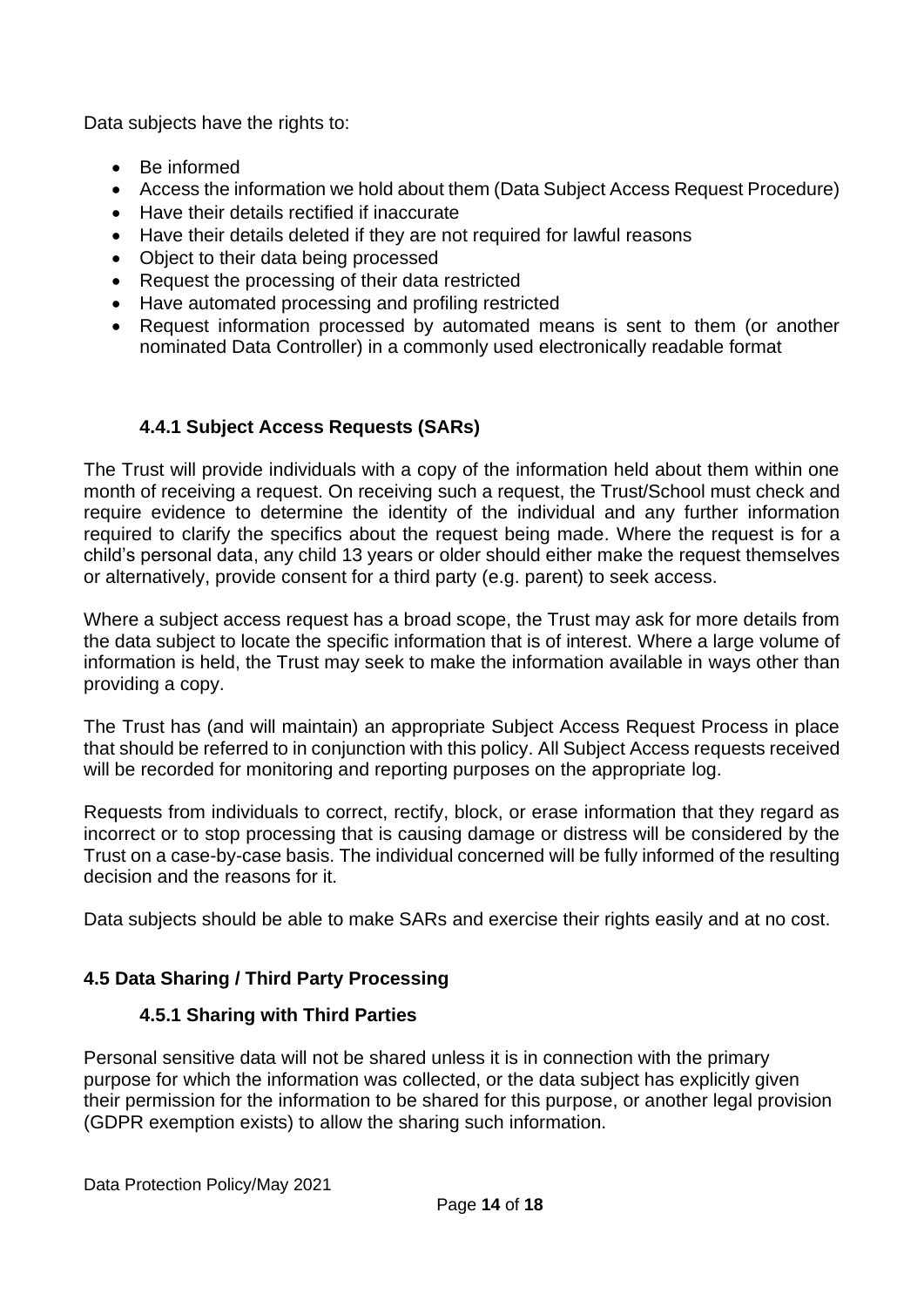Data subjects have the rights to:

- Be informed
- Access the information we hold about them (Data Subject Access Request Procedure)
- Have their details rectified if inaccurate
- Have their details deleted if they are not required for lawful reasons
- Object to their data being processed
- Request the processing of their data restricted
- Have automated processing and profiling restricted
- Request information processed by automated means is sent to them (or another nominated Data Controller) in a commonly used electronically readable format

# **4.4.1 Subject Access Requests (SARs)**

<span id="page-13-0"></span>The Trust will provide individuals with a copy of the information held about them within one month of receiving a request. On receiving such a request, the Trust/School must check and require evidence to determine the identity of the individual and any further information required to clarify the specifics about the request being made. Where the request is for a child's personal data, any child 13 years or older should either make the request themselves or alternatively, provide consent for a third party (e.g. parent) to seek access.

Where a subject access request has a broad scope, the Trust may ask for more details from the data subject to locate the specific information that is of interest. Where a large volume of information is held, the Trust may seek to make the information available in ways other than providing a copy.

The Trust has (and will maintain) an appropriate Subject Access Request Process in place that should be referred to in conjunction with this policy. All Subject Access requests received will be recorded for monitoring and reporting purposes on the appropriate log.

Requests from individuals to correct, rectify, block, or erase information that they regard as incorrect or to stop processing that is causing damage or distress will be considered by the Trust on a case-by-case basis. The individual concerned will be fully informed of the resulting decision and the reasons for it.

<span id="page-13-1"></span>Data subjects should be able to make SARs and exercise their rights easily and at no cost.

# <span id="page-13-2"></span>**4.5 Data Sharing / Third Party Processing**

#### **4.5.1 Sharing with Third Parties**

Personal sensitive data will not be shared unless it is in connection with the primary purpose for which the information was collected, or the data subject has explicitly given their permission for the information to be shared for this purpose, or another legal provision (GDPR exemption exists) to allow the sharing such information.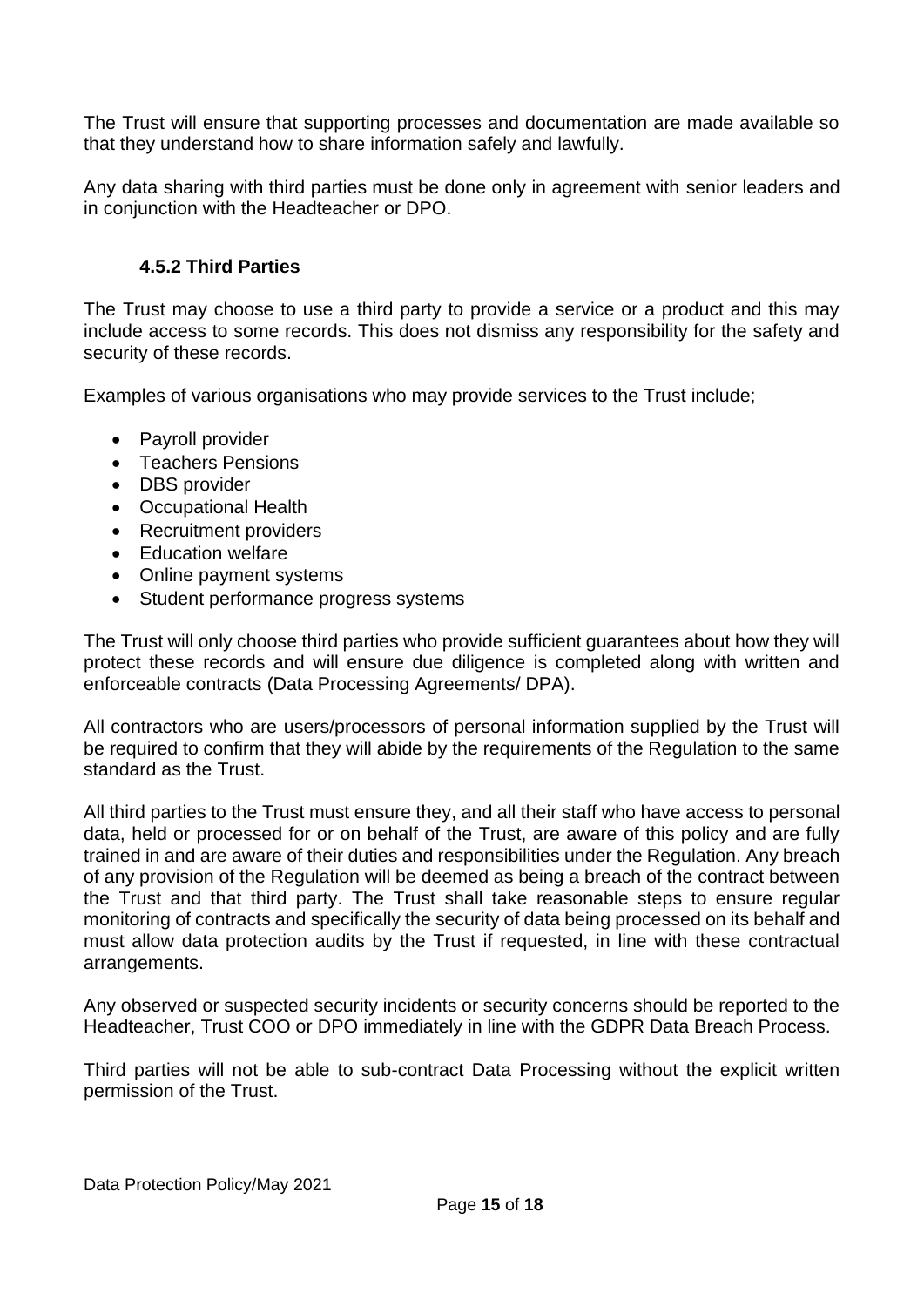The Trust will ensure that supporting processes and documentation are made available so that they understand how to share information safely and lawfully.

Any data sharing with third parties must be done only in agreement with senior leaders and in conjunction with the Headteacher or DPO.

## **4.5.2 Third Parties**

<span id="page-14-0"></span>The Trust may choose to use a third party to provide a service or a product and this may include access to some records. This does not dismiss any responsibility for the safety and security of these records.

Examples of various organisations who may provide services to the Trust include;

- Payroll provider
- Teachers Pensions
- DBS provider
- Occupational Health
- Recruitment providers
- Education welfare
- Online payment systems
- Student performance progress systems

The Trust will only choose third parties who provide sufficient guarantees about how they will protect these records and will ensure due diligence is completed along with written and enforceable contracts (Data Processing Agreements/ DPA).

All contractors who are users/processors of personal information supplied by the Trust will be required to confirm that they will abide by the requirements of the Regulation to the same standard as the Trust.

All third parties to the Trust must ensure they, and all their staff who have access to personal data, held or processed for or on behalf of the Trust, are aware of this policy and are fully trained in and are aware of their duties and responsibilities under the Regulation. Any breach of any provision of the Regulation will be deemed as being a breach of the contract between the Trust and that third party. The Trust shall take reasonable steps to ensure regular monitoring of contracts and specifically the security of data being processed on its behalf and must allow data protection audits by the Trust if requested, in line with these contractual arrangements.

Any observed or suspected security incidents or security concerns should be reported to the Headteacher, Trust COO or DPO immediately in line with the GDPR Data Breach Process.

Third parties will not be able to sub-contract Data Processing without the explicit written permission of the Trust.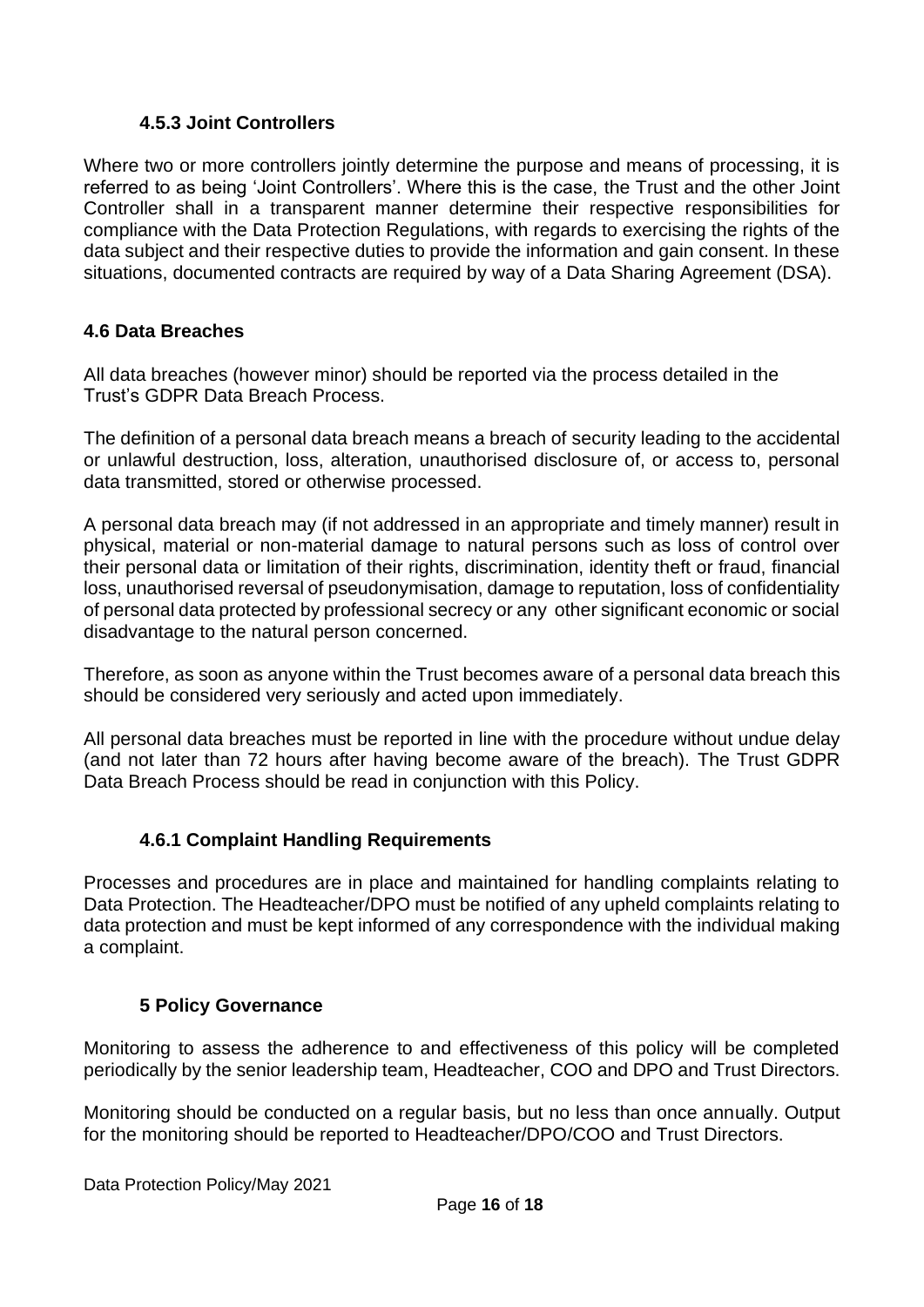## **4.5.3 Joint Controllers**

<span id="page-15-0"></span>Where two or more controllers jointly determine the purpose and means of processing, it is referred to as being 'Joint Controllers'. Where this is the case, the Trust and the other Joint Controller shall in a transparent manner determine their respective responsibilities for compliance with the Data Protection Regulations, with regards to exercising the rights of the data subject and their respective duties to provide the information and gain consent. In these situations, documented contracts are required by way of a Data Sharing Agreement (DSA).

#### <span id="page-15-1"></span>**4.6 Data Breaches**

All data breaches (however minor) should be reported via the process detailed in the Trust's GDPR Data Breach Process.

The definition of a personal data breach means a breach of security leading to the accidental or unlawful destruction, loss, alteration, unauthorised disclosure of, or access to, personal data transmitted, stored or otherwise processed.

A personal data breach may (if not addressed in an appropriate and timely manner) result in physical, material or non-material damage to natural persons such as loss of control over their personal data or limitation of their rights, discrimination, identity theft or fraud, financial loss, unauthorised reversal of pseudonymisation, damage to reputation, loss of confidentiality of personal data protected by professional secrecy or any other significant economic or social disadvantage to the natural person concerned.

Therefore, as soon as anyone within the Trust becomes aware of a personal data breach this should be considered very seriously and acted upon immediately.

All personal data breaches must be reported in line with the procedure without undue delay (and not later than 72 hours after having become aware of the breach). The Trust GDPR Data Breach Process should be read in conjunction with this Policy.

# **4.6.1 Complaint Handling Requirements**

<span id="page-15-2"></span>Processes and procedures are in place and maintained for handling complaints relating to Data Protection. The Headteacher/DPO must be notified of any upheld complaints relating to data protection and must be kept informed of any correspondence with the individual making a complaint.

#### <span id="page-15-3"></span>**5 Policy Governance**

Monitoring to assess the adherence to and effectiveness of this policy will be completed periodically by the senior leadership team, Headteacher, COO and DPO and Trust Directors.

Monitoring should be conducted on a regular basis, but no less than once annually. Output for the monitoring should be reported to Headteacher/DPO/COO and Trust Directors.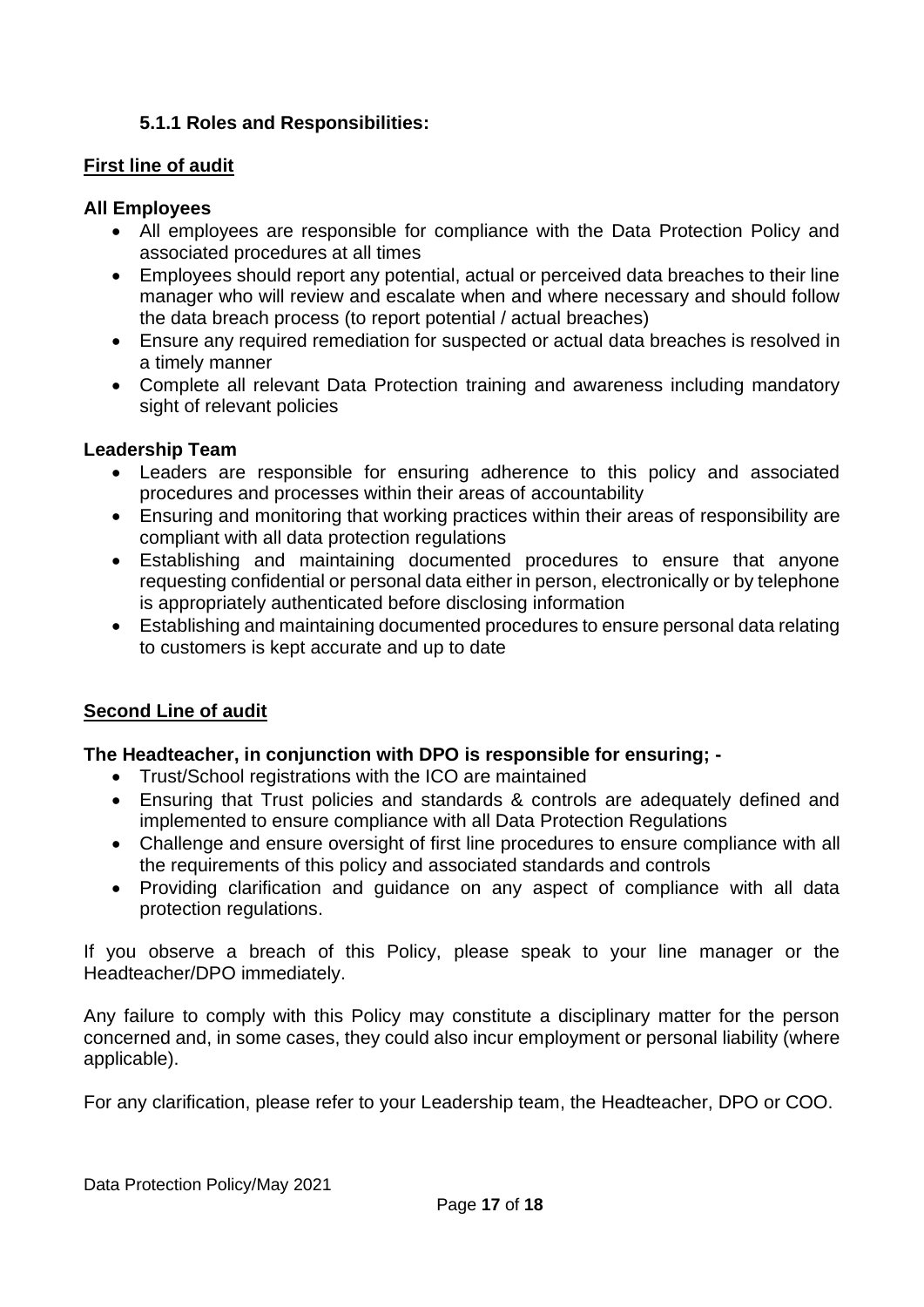## **5.1.1 Roles and Responsibilities:**

#### **First line of audit**

#### **All Employees**

- All employees are responsible for compliance with the Data Protection Policy and associated procedures at all times
- Employees should report any potential, actual or perceived data breaches to their line manager who will review and escalate when and where necessary and should follow the data breach process (to report potential / actual breaches)
- Ensure any required remediation for suspected or actual data breaches is resolved in a timely manner
- Complete all relevant Data Protection training and awareness including mandatory sight of relevant policies

#### **Leadership Team**

- Leaders are responsible for ensuring adherence to this policy and associated procedures and processes within their areas of accountability
- Ensuring and monitoring that working practices within their areas of responsibility are compliant with all data protection regulations
- Establishing and maintaining documented procedures to ensure that anyone requesting confidential or personal data either in person, electronically or by telephone is appropriately authenticated before disclosing information
- Establishing and maintaining documented procedures to ensure personal data relating to customers is kept accurate and up to date

#### **Second Line of audit**

#### **The Headteacher, in conjunction with DPO is responsible for ensuring; -**

- Trust/School registrations with the ICO are maintained
- Ensuring that Trust policies and standards & controls are adequately defined and implemented to ensure compliance with all Data Protection Regulations
- Challenge and ensure oversight of first line procedures to ensure compliance with all the requirements of this policy and associated standards and controls
- Providing clarification and guidance on any aspect of compliance with all data protection regulations.

If you observe a breach of this Policy, please speak to your line manager or the Headteacher/DPO immediately.

Any failure to comply with this Policy may constitute a disciplinary matter for the person concerned and, in some cases, they could also incur employment or personal liability (where applicable).

For any clarification, please refer to your Leadership team, the Headteacher, DPO or COO.